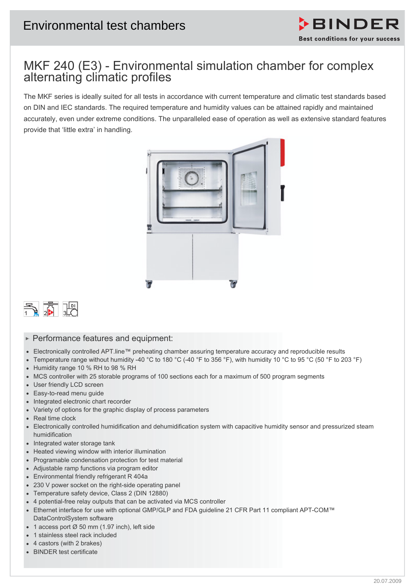## Environmental test chambers



### MKF 240 (E3) - Environmental simulation chamber for complex alternating climatic profiles

The MKF series is ideally suited for all tests in accordance with current temperature and climatic test standards based on DIN and IEC standards. The required temperature and humidity values can be attained rapidly and maintained accurately, even under extreme conditions. The unparalleled ease of operation as well as extensive standard features provide that 'little extra' in handling.





#### $\blacktriangleright$  Performance features and equipment:

- Electronically controlled APT.line™ preheating chamber assuring temperature accuracy and reproducible results
- Temperature range without humidity -40 °C to 180 °C (-40 °F to 356 °F), with humidity 10 °C to 95 °C (50 °F to 203 °F)
- Humidity range 10 % RH to 98 % RH
- MCS controller with 25 storable programs of 100 sections each for a maximum of 500 program segments
- User friendly LCD screen
- Easy-to-read menu guide
- Integrated electronic chart recorder
- Variety of options for the graphic display of process parameters
- Real time clock
- Electronically controlled humidification and dehumidification system with capacitive humidity sensor and pressurized steam humidification
- Integrated water storage tank
- Heated viewing window with interior illumination
- Programable condensation protection for test material
- Adjustable ramp functions via program editor
- Environmental friendly refrigerant R 404a
- 230 V power socket on the right-side operating panel
- Temperature safety device, Class 2 (DIN 12880)
- 4 potential-free relay outputs that can be activated via MCS controller
- Ethernet interface for use with optional GMP/GLP and FDA guideline 21 CFR Part 11 compliant APT-COM™ DataControlSystem software
- 1 access port Ø 50 mm (1.97 inch), left side
- 1 stainless steel rack included
- 4 castors (with 2 brakes)
- BINDER test certificate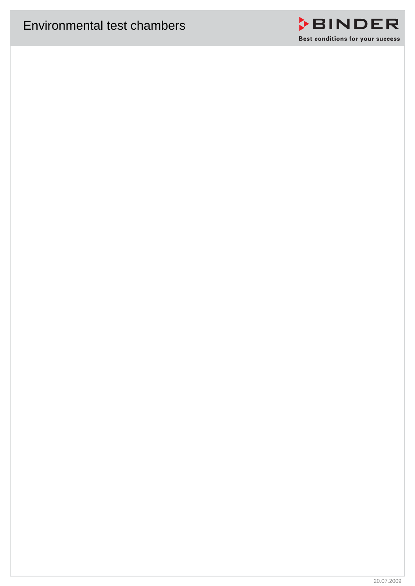# **Environmental test chambers**

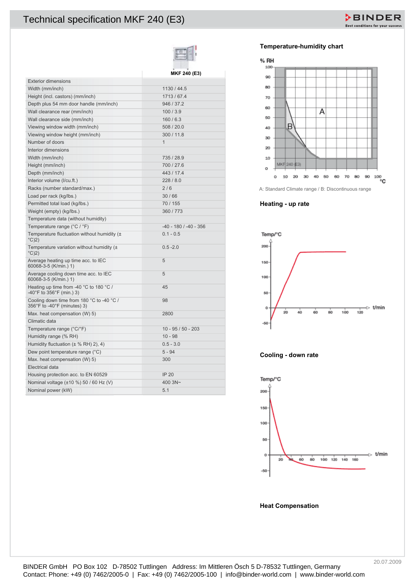### Technical specification MKF 240 (E3)

 $\sqrt{2}$ 

|                                                                          | MKF 240 (E3)          |
|--------------------------------------------------------------------------|-----------------------|
| <b>Exterior dimensions</b>                                               |                       |
| Width (mm/inch)                                                          | 1130 / 44.5           |
| Height (incl. castors) (mm/inch)                                         | 1713/67.4             |
|                                                                          |                       |
| Depth plus 54 mm door handle (mm/inch)                                   | 946 / 37.2            |
| Wall clearance rear (mm/inch)                                            | 100/3.9               |
| Wall clearance side (mm/inch)                                            | 160/6.3               |
| Viewing window width (mm/inch)                                           | 508 / 20.0            |
| Viewing window height (mm/inch)                                          | 300/11.8              |
| Number of doors                                                          | $\mathbf{1}$          |
| Interior dimensions                                                      |                       |
| Width (mm/inch)                                                          | 735 / 28.9            |
| Height (mm/inch)                                                         | 700 / 27.6            |
| Depth (mm/inch)                                                          | 443 / 17.4            |
| Interior volume (I/cu.ft.)                                               | 228/8.0               |
| Racks (number standard/max.)                                             | 2/6                   |
| Load per rack (kg/lbs.)                                                  | 30/66                 |
| Permitted total load (kg/lbs.)                                           | 70 / 155              |
| Weight (empty) (kg/lbs.)                                                 | 360/773               |
| Temperature data (without humidity)                                      |                       |
| Temperature range ( $^{\circ}$ C / $^{\circ}$ F)                         | -40 - 180 / -40 - 356 |
| Temperature fluctuation without humidity $(±$<br>$^{\circ}$ C)2)         | $0.1 - 0.5$           |
| Temperature variation without humidity (±<br>$^{\circ}$ C)2)             | $0.5 - 2.0$           |
| Average heating up time acc. to IEC<br>60068-3-5 (K/min.) 1)             | 5                     |
| Average cooling down time acc. to IEC<br>60068-3-5 (K/min.) 1)           | 5                     |
| Heating up time from -40 °C to 180 °C /<br>-40°F to 356°F (min.) 3)      | 45                    |
| Cooling down time from 180 °C to -40 °C /<br>356°F to -40°F (minutes) 3) | 98                    |
| Max. heat compensation (W) 5)                                            | 2800                  |
| Climatic data                                                            |                       |
| Temperature range (°C/°F)                                                | 10 - 95 / 50 - 203    |
| Humidity range (% RH)                                                    | $10 - 98$             |
| Humidity fluctuation $(\pm \% RH)$ 2), 4)                                | $0.5 - 3.0$           |
| Dew point temperature range (°C)                                         | $5 - 94$              |
| Max. heat compensation (W) 5)                                            | 300                   |
| Electrical data                                                          |                       |
| Housing protection acc. to EN 60529                                      | <b>IP 20</b>          |
| Nominal voltage (±10 %) 50 / 60 Hz (V)                                   | 400 $3N~$             |
| Nominal power (kW)                                                       | 5.1                   |

**Temperature-humidity chart**



**BINDER** 

A: Standard Climate range / B: Discontinuous range

**Heating - up rate**







**Heat Compensation**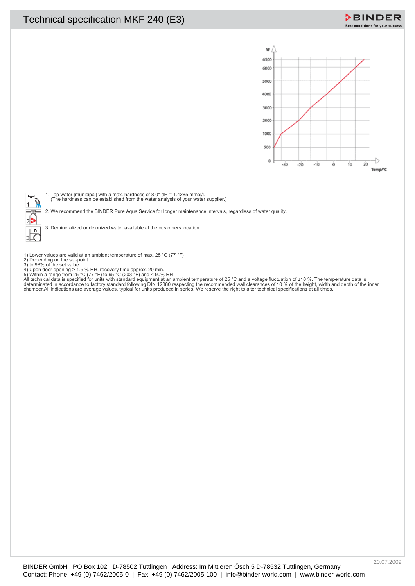



모 ĥ  $\vert$ 1  $=$ m 10

1. Tap water [municipal] with a max. hardness of 8.0° dH = 1.4285 mmol/l. (The hardness can be established from the water analysis of your water supplier.)

2. We recommend the BINDER Pure Aqua Service for longer maintenance intervals, regardless of water quality.

3. Demineralized or deionized water available at the customers location.

1) Lower values are valid at an ambient temperature of max. 25 °C (77 °F)<br>2) Depending on the set-point<br>3) to 98% of the set-point<br>4) Upon door opening > 1.5 % RH, recovery time approx. 20 min.<br>4) Upon door opening > 1.5 %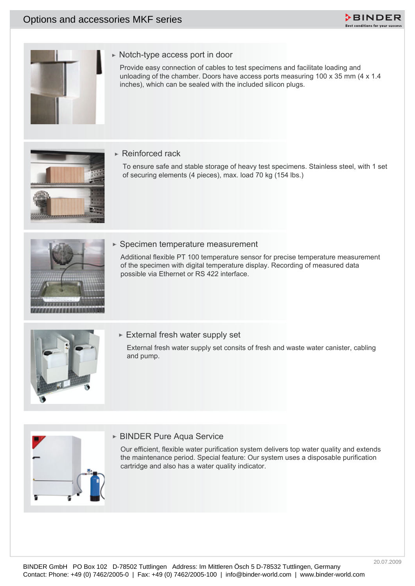#### Options and accessories MKF series





► Notch-type access port in door

Provide easy connection of cables to test specimens and facilitate loading and unloading of the chamber. Doors have access ports measuring 100 x 35 mm (4 x 1.4 inches), which can be sealed with the included silicon plugs.



► Reinforced rack

To ensure safe and stable storage of heavy test specimens. Stainless steel, with 1 set of securing elements (4 pieces), max. load 70 kg (154 lbs.)



► Specimen temperature measurement

Additional flexible PT 100 temperature sensor for precise temperature measurement of the specimen with digital temperature display. Recording of measured data possible via Ethernet or RS 422 interface.



 $\blacktriangleright$  External fresh water supply set

External fresh water supply set consits of fresh and waste water canister, cabling and pump.



► BINDER Pure Aqua Service

Our efficient, flexible water purification system delivers top water quality and extends the maintenance period. Special feature: Our system uses a disposable purification cartridge and also has a water quality indicator.